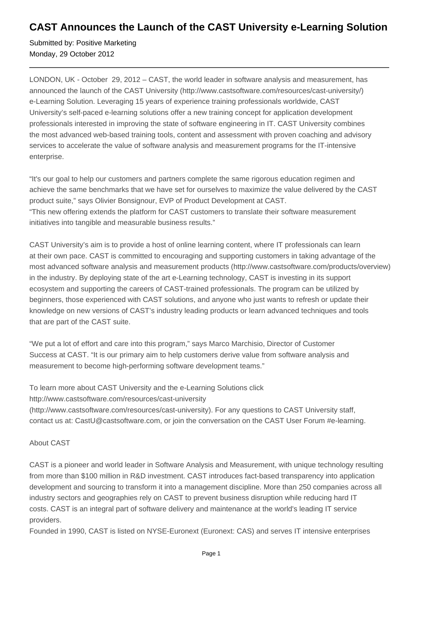## **CAST Announces the Launch of the CAST University e-Learning Solution**

Submitted by: Positive Marketing Monday, 29 October 2012

LONDON, UK - October 29, 2012 – CAST, the world leader in software analysis and measurement, has announced the launch of the CAST University (http://www.castsoftware.com/resources/cast-university/) e-Learning Solution. Leveraging 15 years of experience training professionals worldwide, CAST University's self-paced e-learning solutions offer a new training concept for application development professionals interested in improving the state of software engineering in IT. CAST University combines the most advanced web-based training tools, content and assessment with proven coaching and advisory services to accelerate the value of software analysis and measurement programs for the IT-intensive enterprise.

"It's our goal to help our customers and partners complete the same rigorous education regimen and achieve the same benchmarks that we have set for ourselves to maximize the value delivered by the CAST product suite," says Olivier Bonsignour, EVP of Product Development at CAST. "This new offering extends the platform for CAST customers to translate their software measurement initiatives into tangible and measurable business results."

CAST University's aim is to provide a host of online learning content, where IT professionals can learn at their own pace. CAST is committed to encouraging and supporting customers in taking advantage of the most advanced software analysis and measurement products (http://www.castsoftware.com/products/overview) in the industry. By deploying state of the art e-Learning technology, CAST is investing in its support ecosystem and supporting the careers of CAST-trained professionals. The program can be utilized by beginners, those experienced with CAST solutions, and anyone who just wants to refresh or update their knowledge on new versions of CAST's industry leading products or learn advanced techniques and tools that are part of the CAST suite.

"We put a lot of effort and care into this program," says Marco Marchisio, Director of Customer Success at CAST. "It is our primary aim to help customers derive value from software analysis and measurement to become high-performing software development teams."

To learn more about CAST University and the e-Learning Solutions click http://www.castsoftware.com/resources/cast-university (http://www.castsoftware.com/resources/cast-university). For any questions to CAST University staff, contact us at: CastU@castsoftware.com, or join the conversation on the CAST User Forum #e-learning.

## About CAST

CAST is a pioneer and world leader in Software Analysis and Measurement, with unique technology resulting from more than \$100 million in R&D investment. CAST introduces fact-based transparency into application development and sourcing to transform it into a management discipline. More than 250 companies across all industry sectors and geographies rely on CAST to prevent business disruption while reducing hard IT costs. CAST is an integral part of software delivery and maintenance at the world's leading IT service providers.

Founded in 1990, CAST is listed on NYSE-Euronext (Euronext: CAS) and serves IT intensive enterprises